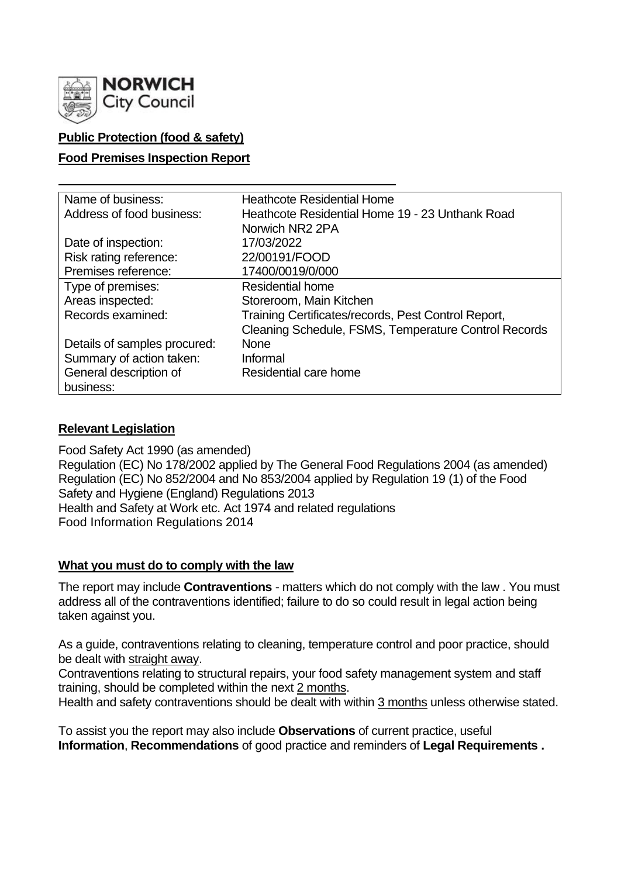

# **Public Protection (food & safety)**

### **Food Premises Inspection Report**

| Name of business:            | <b>Heathcote Residential Home</b>                    |
|------------------------------|------------------------------------------------------|
| Address of food business:    | Heathcote Residential Home 19 - 23 Unthank Road      |
|                              | Norwich NR2 2PA                                      |
| Date of inspection:          | 17/03/2022                                           |
| Risk rating reference:       | 22/00191/FOOD                                        |
| Premises reference:          | 17400/0019/0/000                                     |
| Type of premises:            | <b>Residential home</b>                              |
| Areas inspected:             | Storeroom, Main Kitchen                              |
| Records examined:            | Training Certificates/records, Pest Control Report,  |
|                              | Cleaning Schedule, FSMS, Temperature Control Records |
| Details of samples procured: | <b>None</b>                                          |
| Summary of action taken:     | Informal                                             |
| General description of       | Residential care home                                |
| business:                    |                                                      |

### **Relevant Legislation**

Food Safety Act 1990 (as amended) Regulation (EC) No 178/2002 applied by The General Food Regulations 2004 (as amended) Regulation (EC) No 852/2004 and No 853/2004 applied by Regulation 19 (1) of the Food Safety and Hygiene (England) Regulations 2013 Health and Safety at Work etc. Act 1974 and related regulations Food Information Regulations 2014

### **What you must do to comply with the law**

The report may include **Contraventions** - matters which do not comply with the law . You must address all of the contraventions identified; failure to do so could result in legal action being taken against you.

As a guide, contraventions relating to cleaning, temperature control and poor practice, should be dealt with straight away.

Contraventions relating to structural repairs, your food safety management system and staff training, should be completed within the next 2 months.

Health and safety contraventions should be dealt with within 3 months unless otherwise stated.

To assist you the report may also include **Observations** of current practice, useful **Information**, **Recommendations** of good practice and reminders of **Legal Requirements .**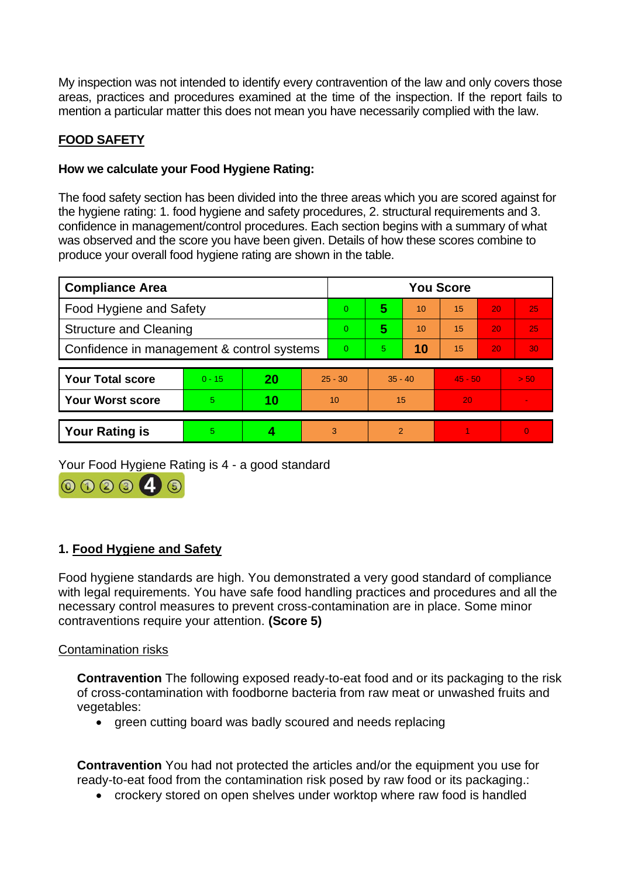My inspection was not intended to identify every contravention of the law and only covers those areas, practices and procedures examined at the time of the inspection. If the report fails to mention a particular matter this does not mean you have necessarily complied with the law.

# **FOOD SAFETY**

## **How we calculate your Food Hygiene Rating:**

The food safety section has been divided into the three areas which you are scored against for the hygiene rating: 1. food hygiene and safety procedures, 2. structural requirements and 3. confidence in management/control procedures. Each section begins with a summary of what was observed and the score you have been given. Details of how these scores combine to produce your overall food hygiene rating are shown in the table.

| <b>Compliance Area</b>                     |          |    |           | <b>You Score</b> |           |    |           |    |                 |  |  |
|--------------------------------------------|----------|----|-----------|------------------|-----------|----|-----------|----|-----------------|--|--|
| <b>Food Hygiene and Safety</b>             |          |    |           | 0                | 5         | 10 | 15        | 20 | 25              |  |  |
| <b>Structure and Cleaning</b>              |          |    |           | $\Omega$         | 5         | 10 | 15        | 20 | 25              |  |  |
| Confidence in management & control systems |          |    |           | $\Omega$         | 5         | 10 | 15        | 20 | 30 <sub>1</sub> |  |  |
|                                            |          |    |           |                  |           |    |           |    |                 |  |  |
| <b>Your Total score</b>                    | $0 - 15$ | 20 | $25 - 30$ |                  | $35 - 40$ |    | $45 - 50$ |    | > 50            |  |  |
| <b>Your Worst score</b>                    | 5        | 10 | 10        |                  | 15        |    | 20        |    |                 |  |  |
|                                            |          |    |           |                  |           |    |           |    |                 |  |  |
| <b>Your Rating is</b>                      | 5        |    | 3         |                  | 2         |    |           |    | $\Omega$        |  |  |

Your Food Hygiene Rating is 4 - a good standard



## **1. Food Hygiene and Safety**

Food hygiene standards are high. You demonstrated a very good standard of compliance with legal requirements. You have safe food handling practices and procedures and all the necessary control measures to prevent cross-contamination are in place. Some minor contraventions require your attention. **(Score 5)**

#### Contamination risks

**Contravention** The following exposed ready-to-eat food and or its packaging to the risk of cross-contamination with foodborne bacteria from raw meat or unwashed fruits and vegetables:

• green cutting board was badly scoured and needs replacing

**Contravention** You had not protected the articles and/or the equipment you use for ready-to-eat food from the contamination risk posed by raw food or its packaging.:

• crockery stored on open shelves under worktop where raw food is handled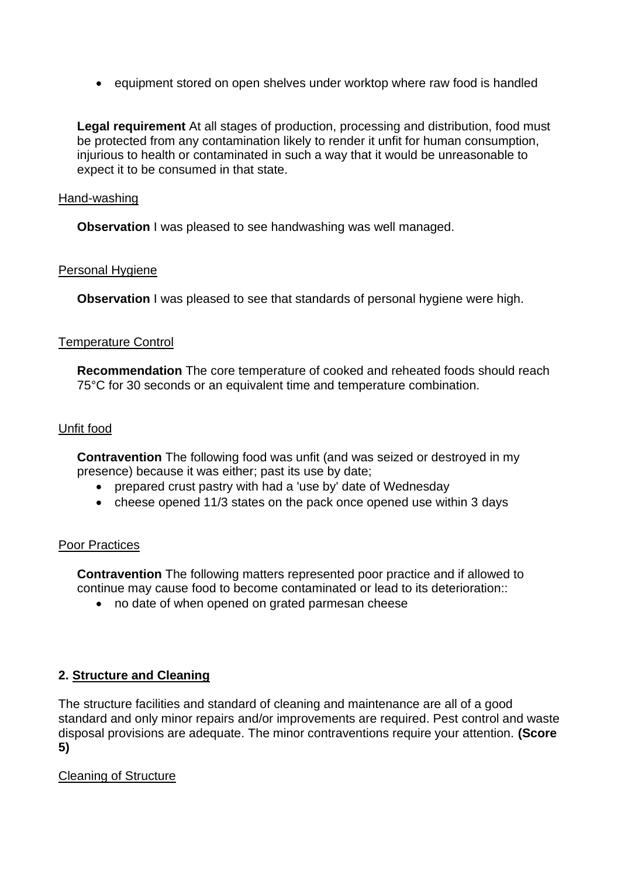• equipment stored on open shelves under worktop where raw food is handled

**Legal requirement** At all stages of production, processing and distribution, food must be protected from any contamination likely to render it unfit for human consumption, injurious to health or contaminated in such a way that it would be unreasonable to expect it to be consumed in that state.

#### Hand-washing

**Observation** I was pleased to see handwashing was well managed.

#### Personal Hygiene

**Observation** I was pleased to see that standards of personal hygiene were high.

#### Temperature Control

**Recommendation** The core temperature of cooked and reheated foods should reach 75°C for 30 seconds or an equivalent time and temperature combination.

#### Unfit food

**Contravention** The following food was unfit (and was seized or destroyed in my presence) because it was either; past its use by date;

- prepared crust pastry with had a 'use by' date of Wednesday
- cheese opened 11/3 states on the pack once opened use within 3 days

#### Poor Practices

**Contravention** The following matters represented poor practice and if allowed to continue may cause food to become contaminated or lead to its deterioration::

• no date of when opened on grated parmesan cheese

### **2. Structure and Cleaning**

The structure facilities and standard of cleaning and maintenance are all of a good standard and only minor repairs and/or improvements are required. Pest control and waste disposal provisions are adequate. The minor contraventions require your attention. **(Score 5)**

### Cleaning of Structure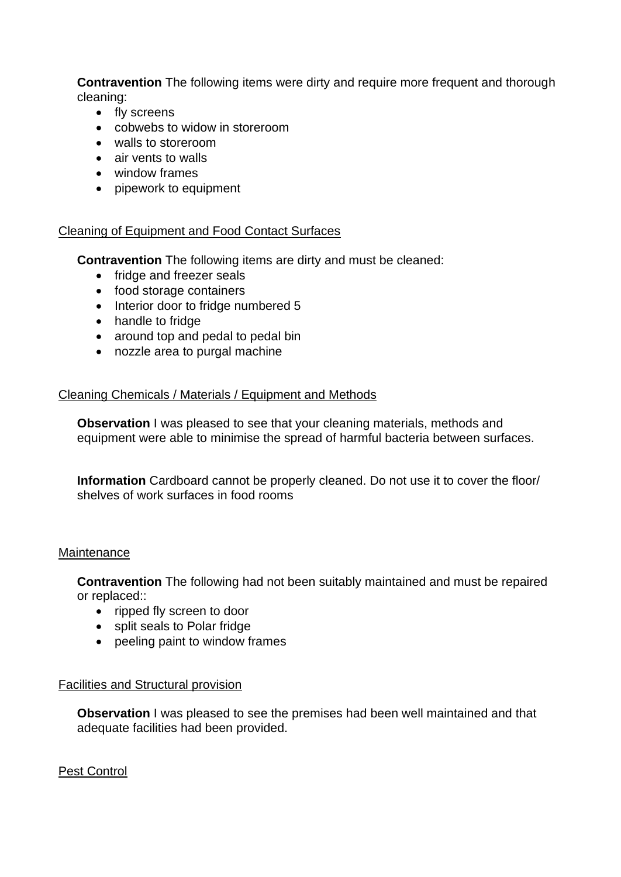**Contravention** The following items were dirty and require more frequent and thorough cleaning:

- fly screens
- cobwebs to widow in storeroom
- walls to storeroom
- air vents to walls
- window frames
- pipework to equipment

### Cleaning of Equipment and Food Contact Surfaces

**Contravention** The following items are dirty and must be cleaned:

- fridge and freezer seals
- food storage containers
- Interior door to fridge numbered 5
- handle to fridge
- around top and pedal to pedal bin
- nozzle area to purgal machine

#### Cleaning Chemicals / Materials / Equipment and Methods

**Observation** I was pleased to see that your cleaning materials, methods and equipment were able to minimise the spread of harmful bacteria between surfaces.

**Information** Cardboard cannot be properly cleaned. Do not use it to cover the floor/ shelves of work surfaces in food rooms

#### **Maintenance**

**Contravention** The following had not been suitably maintained and must be repaired or replaced::

- ripped fly screen to door
- split seals to Polar fridge
- peeling paint to window frames

### Facilities and Structural provision

**Observation** I was pleased to see the premises had been well maintained and that adequate facilities had been provided.

### Pest Control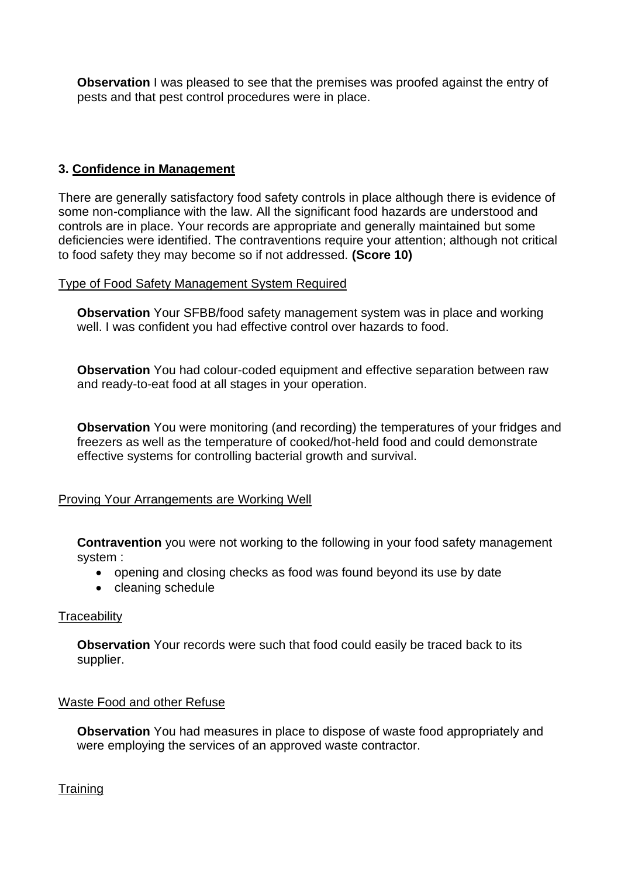**Observation** I was pleased to see that the premises was proofed against the entry of pests and that pest control procedures were in place.

# **3. Confidence in Management**

There are generally satisfactory food safety controls in place although there is evidence of some non-compliance with the law. All the significant food hazards are understood and controls are in place. Your records are appropriate and generally maintained but some deficiencies were identified. The contraventions require your attention; although not critical to food safety they may become so if not addressed. **(Score 10)**

### Type of Food Safety Management System Required

**Observation** Your SFBB/food safety management system was in place and working well. I was confident you had effective control over hazards to food.

**Observation** You had colour-coded equipment and effective separation between raw and ready-to-eat food at all stages in your operation.

**Observation** You were monitoring (and recording) the temperatures of your fridges and freezers as well as the temperature of cooked/hot-held food and could demonstrate effective systems for controlling bacterial growth and survival.

## Proving Your Arrangements are Working Well

**Contravention** you were not working to the following in your food safety management system :

- opening and closing checks as food was found beyond its use by date
- cleaning schedule

## **Traceability**

**Observation** Your records were such that food could easily be traced back to its supplier.

### Waste Food and other Refuse

**Observation** You had measures in place to dispose of waste food appropriately and were employing the services of an approved waste contractor.

**Training**